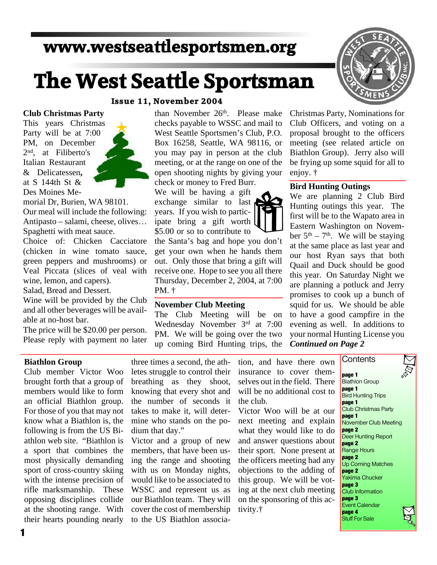# **www.westseattlesportsmen.org**

# **The West Seattle Sportsman**

## **Issue 11, November 2004**

#### **Club Christmas Party**

This years Christmas Party will be at 7:00 PM, on December 2nd, at Filiberto's Italian Restaurant & Delicatessen**,** at S 144th St & Des Moines Me-

morial Dr, Burien, WA 98101. Our meal will include the following: Antipasto – salami, cheese, olives… Spaghetti with meat sauce.

Choice of: Chicken Cacciatore (chicken in wine tomato sauce, green peppers and mushrooms) or Veal Piccata (slices of veal with wine, lemon, and capers). Salad, Bread and Dessert.

Wine will be provided by the Club and all other beverages will be avail able at no-host bar.

The price will be \$20.00 per person. Please reply with payment no later than November 26<sup>th</sup>. Please make checks payable to WSSC and mail to West Seattle Sportsmen's Club, P.O. Box 16258, Seattle, WA 98116, or you may pay in person at the club meeting, or at the range on one of the open shooting nights by giving your check or money to Fred Burr.

We will be having a gift exchange similar to last years. If you wish to partic ipate bring a gift worth \$5.00 or so to contribute to

the Santa's bag and hope you don't get your own when he hands them out. Only those that bring a gift will receive one. Hope to see you all there Thursday, December 2, 2004, at 7:00 PM. †

### **November Club Meeting**

The Club Meeting will be on Wednesday November 3rd at 7:00 PM. We will be going over the two up coming Bird Hunting trips, the



Christmas Party, Nominations for Club Officers, and voting on a proposal brought to the officers meeting (see related article on Biathlon Group). Jerry also will be frying up some squid for all to enjoy. †

#### **Bird Hunting Outings**

We are planning 2 Club Bird Hunting outings this year. The first will be to the Wapato area in Eastern Washington on Novem ber  $5<sup>th</sup> - 7<sup>th</sup>$ . We will be staying at the same place as last year and our host Ryan says that both Quail and Duck should be good this year. On Saturday Night we are planning a potluck and Jerry promises to cook up a bunch of squid for us. We should be able to have a good campfire in the evening as well. In additions to your normal Hunting License you *Continued on Page 2*

### **Biathlon Group**

Club member Victor Woo brought forth that a group of members would like to form an official Biathlon group. For those of you that may not know what a Biathlon is, the following is from the US Bi athlon web site. "Biathlon is a sport that combines the most physically demanding sport of cross-country skiing with the intense precision of rifle marksmanship. These opposing disciplines collide at the shooting range. With their hearts pounding nearly

three times a second, the ath letes struggle to control their breathing as they shoot, knowing that every shot and the number of seconds it takes to make it, will deter mine who stands on the po dium that day."

Victor and a group of new members, that have been us ing the range and shooting with us on Monday nights, would like to be associated to WSSC and represent us as our Biathlon team. They will cover the cost of membership to the US Biathlon association, and have there own insurance to cover them selves out in the field. There will be no additional cost to the club.

Victor Woo will be at our next meeting and explain what they would like to do and answer questions about their sport. None present at the officers meeting had any objections to the adding of this group. We will be vot ing at the next club meeting on the sponsoring of this ac tivity.†

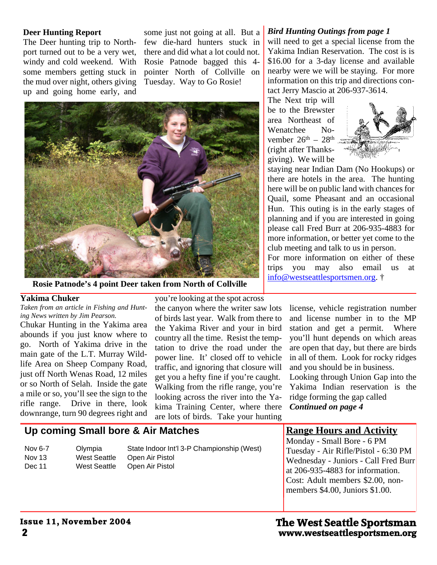#### **Deer Hunting Report**

The Deer hunting trip to North port turned out to be a very wet, windy and cold weekend. With some members getting stuck in the mud over night, others giving up and going home early, and

some just not going at all. But a few die-hard hunters stuck in there and did what a lot could not. Rosie Patnode bagged this 4 pointer North of Collville on Tuesday. Way to Go Rosie!



**Rosie Patnode's 4 point Deer taken from North of Collville**

# **Yakima Chuker**

*Taken from an article in Fishing and Hunt ing News written by Jim Pearson.*

Chukar Hunting in the Yakima area abounds if you just know where to go. North of Yakima drive in the main gate of the L.T. Murray Wild life Area on Sheep Company Road, just off North Wenas Road, 12 miles or so North of Selah. Inside the gate a mile or so, you'll see the sign to the rifle range. Drive in there, look downrange, turn 90 degrees right and you're looking at the spot across the canyon where the writer saw lots of birds last year. Walk from there to the Yakima River and your in bird country all the time. Resist the temp tation to drive the road under the power line. It' closed off to vehicle traffic, and ignoring that closure will get you a hefty fine if you're caught. Walking from the rifle range, you're looking across the river into the Ya kima Training Center, where there are lots of birds. Take your hunting

#### *Bird Hunting Outings from page 1*

will need to get a special license from the Yakima Indian Reservation. The cost is is \$16.00 for a 3-day license and available nearby were we will be staying. For more information on this trip and directions con tact Jerry Mascio at 206-937-3614.

The Next trip will be to the Brewster area Northeast of Wenatchee No vember  $26<sup>th</sup> - 28<sup>th</sup>$ (right after Thanks giving). We will be



staying near Indian Dam (No Hookups) or there are hotels in the area. The hunting here will be on public land with chances for Quail, some Pheasant and an occasional Hun. This outing is in the early stages of planning and if you are interested in going please call Fred Burr at 206-935-4883 for more information, or better yet come to the club meeting and talk to us in person.

For more information on either of these trips you may also email us at info@westseattlesportsmen.org. †

> license, vehicle registration number and license number in to the MP station and get a permit. Where you'll hunt depends on which areas are open that day, but there are birds in all of them. Look for rocky ridges and you should be in business.

> Looking through Union Gap into the Yakima Indian reservation is the ridge forming the gap called *Continued on page 4*

# **Up coming Small bore & Air Matches**

| Nov 6-7 | Olympia      | State Indoor Int'l 3-P Championship (West) |
|---------|--------------|--------------------------------------------|
| Nov 13  | West Seattle | Open Air Pistol                            |
| Dec 11  | West Seattle | Open Air Pistol                            |

## **Range Hours and Activity**

Monday - Small Bore - 6 PM Tuesday - Air Rifle/Pistol - 6:30 PM Wednesday - Juniors - Call Fred Burr at 206-935-4883 for information. Cost: Adult members \$2.00, non members \$4.00, Juniors \$1.00.

# **2 www.westseattlesportsmen.org The West Seattle Sportsman**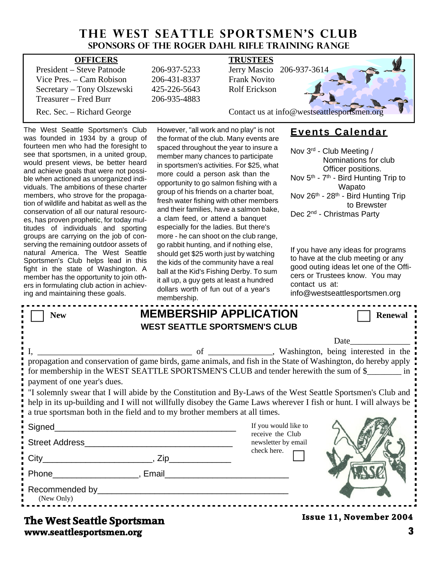# **THE WEST SEATTLE SPORTSMEN'S CLUB Sponsors of the Roger Dahl Rifle Training Range**

| <b>OFFICERS</b>                            | <b>TRUSTEES</b>                             |  |  |
|--------------------------------------------|---------------------------------------------|--|--|
| President – Steve Patnode<br>206-937-5233  | Jerry Mascio 206-937-3614                   |  |  |
| Vice Pres. – Cam Robison<br>206-431-8337   | <b>Frank Novito</b>                         |  |  |
| Secretary – Tony Olszewski<br>425-226-5643 | Rolf Erickson                               |  |  |
| Treasurer – Fred Burr<br>206-935-4883      |                                             |  |  |
| Rec. Sec. – Richard George                 | Contact us at info@westseattlesportsmen.org |  |  |

The West Seattle Sportsmen's Club was founded in 1934 by a group of fourteen men who had the foresight to see that sportsmen, in a united group, would present views, be better heard and achieve goals that were not possi ble when actioned as unorganized indi viduals. The ambitions of these charter members, who strove for the propaga tion of wildlife and habitat as well as the conservation of all our natural resourc es, has proven prophetic, for today mul titudes of individuals and sporting groups are carrying on the job of con serving the remaining outdoor assets of natural America. The West Seattle Sportsmen's Club helps lead in this fight in the state of Washington. A member has the opportunity to join oth ers in formulating club action in achiev ing and maintaining these goals.

However, "all work and no play" is not the format of the club. Many events are spaced throughout the year to insure a member many chances to participate in sportsmen's activities. For \$25, what more could a person ask than the opportunity to go salmon fishing with a group of his friends on a charter boat, fresh water fishing with other members and their families, have a salmon bake, a clam feed, or attend a banquet especially for the ladies. But there's more - he can shoot on the club range, go rabbit hunting, and if nothing else, should get \$25 worth just by watching the kids of the community have a real ball at the Kid's Fishing Derby. To sum it all up, a guy gets at least a hundred dollars worth of fun out of a year's membership.

# **Events Calendar**

Nov 3rd - Club Meeting / Nominations for club Officer positions. Nov  $5<sup>th</sup>$  -  $7<sup>th</sup>$  - Bird Hunting Trip to Wapato Nov 26<sup>th</sup> - 28<sup>th</sup> - Bird Hunting Trip to Brewster Dec 2<sup>nd</sup> - Christmas Party

If you have any ideas for programs to have at the club meeting or any good outing ideas let one of the Offi cers or Trustees know. You may contact us at:

| info@westseattlesportsmen.org |  |  |
|-------------------------------|--|--|
|-------------------------------|--|--|

| <b>New</b>                                                                                                                                                                                                                                                                                                       | <b>MEMBERSHIP APPLICATION</b><br><b>WEST SEATTLE SPORTSMEN'S CLUB</b> |                                         | <b>Renewal</b>                 |  |  |  |
|------------------------------------------------------------------------------------------------------------------------------------------------------------------------------------------------------------------------------------------------------------------------------------------------------------------|-----------------------------------------------------------------------|-----------------------------------------|--------------------------------|--|--|--|
|                                                                                                                                                                                                                                                                                                                  |                                                                       |                                         | Date                           |  |  |  |
| propagation and conservation of game birds, game animals, and fish in the State of Washington, do hereby apply<br>for membership in the WEST SEATTLE SPORTSMEN'S CLUB and tender herewith the sum of \$<br>payment of one year's dues.                                                                           |                                                                       |                                         |                                |  |  |  |
| . If solemnly swear that I will abide by the Constitution and By-Laws of the West Seattle Sportsmen's Club and<br>help in its up-building and I will not willfully disobey the Game Laws wherever I fish or hunt. I will always be<br>a true sportsman both in the field and to my brother members at all times. |                                                                       |                                         |                                |  |  |  |
| Signed                                                                                                                                                                                                                                                                                                           |                                                                       | If you would like to                    |                                |  |  |  |
|                                                                                                                                                                                                                                                                                                                  |                                                                       | receive the Club<br>newsletter by email |                                |  |  |  |
|                                                                                                                                                                                                                                                                                                                  |                                                                       | check here.                             |                                |  |  |  |
| Phone Reserves and Phone Reserves and Phone Reserves and Phone Reserves and Phone Reserves and Phone Reserves and Phone Reserves and Phone Reserves and Phone Reserves and Phone Reserves and Phone Reserves and Phone Reserve                                                                                   |                                                                       |                                         |                                |  |  |  |
| (New Only)                                                                                                                                                                                                                                                                                                       |                                                                       |                                         |                                |  |  |  |
| The West Seattle Snortsman                                                                                                                                                                                                                                                                                       |                                                                       |                                         | <b>Issue 11, November 2004</b> |  |  |  |

**www.seattlesportsmen.org 3 The West Seattle Sportsman**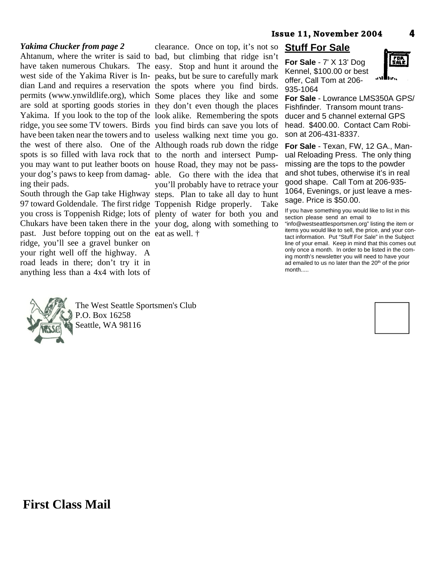#### *Yakima Chucker from page 2*

Ahtanum, where the writer is said to bad, but climbing that ridge isn't have taken numerous Chukars. The easy. Stop and hunt it around the west side of the Yakima River is In- peaks, but be sure to carefully mark dian Land and requires a reservation the spots where you find birds. permits (www.ynwildlife.org), which Some places they like and some are sold at sporting goods stories in they don't even though the places Yakima. If you look to the top of the look alike. Remembering the spots ridge, you see some TV towers. Birds you find birds can save you lots of have been taken near the towers and to useless walking next time you go. the west of there also. One of the Although roads rub down the ridge spots is so filled with lava rock that to the north and intersect Pumpyou may want to put leather boots on house Road, they may not be passyour dog's paws to keep from damag- able. Go there with the idea that ing their pads.

South through the Gap take Highway steps. Plan to take all day to hunt 97 toward Goldendale. The first ridge Toppenish Ridge properly. Take you cross is Toppenish Ridge; lots of plenty of water for both you and Chukars have been taken there in the your dog, along with something to past. Just before topping out on the eat as well. † ridge, you'll see a gravel bunker on your right well off the highway. A road leads in there; don't try it in anything less than a 4x4 with lots of

clearance. Once on top, it's not so you'll probably have to retrace your

# **Stuff For Sale**

**For Sale** - 7' X 13' Dog Kennel, \$100.00 or best offer, Call Tom at 206- 935-1064



**For Sale** - Lowrance LMS350A GPS/ Fishfinder. Transom mount trans ducer and 5 channel external GPS head. \$400.00. Contact Cam Robi son at 206-431-8337.

**For Sale** - Texan, FW, 12 GA., Man ual Reloading Press. The only thing missing are the tops to the powder and shot tubes, otherwise it's in real good shape. Call Tom at 206-935- 1064, Evenings, or just leave a mes sage. Price is \$50.00.

If you have something you would like to list in this section please send an email to

"info@westseattlesportsmen.org" listing the item or items you would like to sell, the price, and your con tact information. Put "Stuff For Sale" in the Subject line of your email. Keep in mind that this comes out only once a month. In order to be listed in the com ing month's newsletter you will need to have your ad emailed to us no later than the 20<sup>th</sup> of the prior month.....



The West Seattle Sportsmen's Club P.O. Box 16258 Seattle, WA 98116



**First Class Mail**